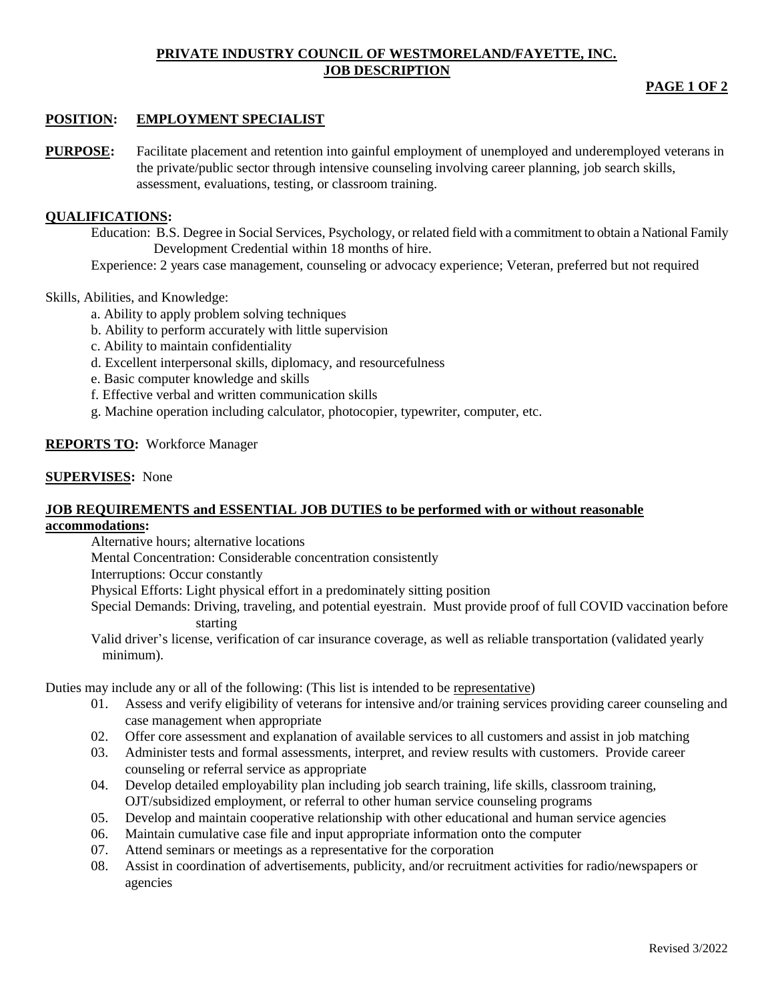#### **PRIVATE INDUSTRY COUNCIL OF WESTMORELAND/FAYETTE, INC. JOB DESCRIPTION**

# **PAGE 1 OF 2**

# **POSITION: EMPLOYMENT SPECIALIST**

**PURPOSE:** Facilitate placement and retention into gainful employment of unemployed and underemployed veterans in the private/public sector through intensive counseling involving career planning, job search skills, assessment, evaluations, testing, or classroom training.

## **QUALIFICATIONS:**

Education: B.S. Degree in Social Services, Psychology, or related field with a commitment to obtain a National Family Development Credential within 18 months of hire.

Experience: 2 years case management, counseling or advocacy experience; Veteran, preferred but not required

### Skills, Abilities, and Knowledge:

- a. Ability to apply problem solving techniques
- b. Ability to perform accurately with little supervision
- c. Ability to maintain confidentiality
- d. Excellent interpersonal skills, diplomacy, and resourcefulness
- e. Basic computer knowledge and skills
- f. Effective verbal and written communication skills
- g. Machine operation including calculator, photocopier, typewriter, computer, etc.

## **REPORTS TO:** Workforce Manager

### **SUPERVISES:** None

#### **JOB REQUIREMENTS and ESSENTIAL JOB DUTIES to be performed with or without reasonable accommodations:**

Alternative hours; alternative locations

Mental Concentration: Considerable concentration consistently

Interruptions: Occur constantly

Physical Efforts: Light physical effort in a predominately sitting position

Special Demands: Driving, traveling, and potential eyestrain. Must provide proof of full COVID vaccination before starting

Valid driver's license, verification of car insurance coverage, as well as reliable transportation (validated yearly minimum).

Duties may include any or all of the following: (This list is intended to be representative)

- 01. Assess and verify eligibility of veterans for intensive and/or training services providing career counseling and case management when appropriate
- 02. Offer core assessment and explanation of available services to all customers and assist in job matching
- 03. Administer tests and formal assessments, interpret, and review results with customers. Provide career counseling or referral service as appropriate
- 04. Develop detailed employability plan including job search training, life skills, classroom training, OJT/subsidized employment, or referral to other human service counseling programs
- 05. Develop and maintain cooperative relationship with other educational and human service agencies
- 06. Maintain cumulative case file and input appropriate information onto the computer
- 07. Attend seminars or meetings as a representative for the corporation
- 08. Assist in coordination of advertisements, publicity, and/or recruitment activities for radio/newspapers or agencies